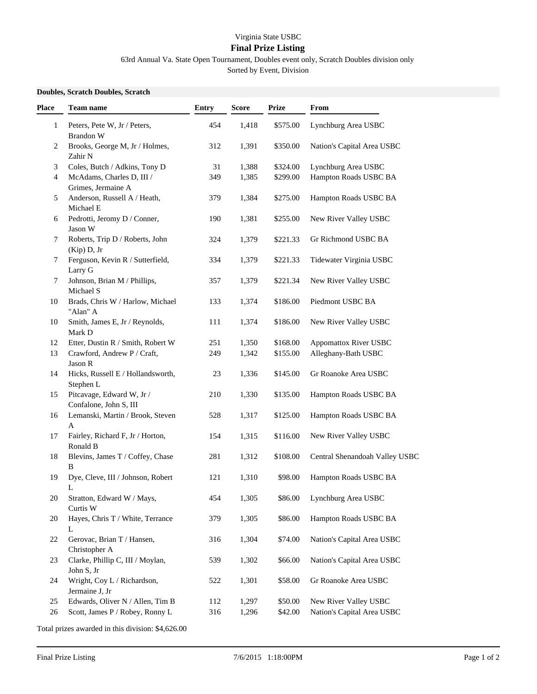## Virginia State USBC

## **Final Prize Listing**

63rd Annual Va. State Open Tournament, Doubles event only, Scratch Doubles division only

Sorted by Event, Division

## **Doubles, Scratch Doubles, Scratch**

| Place        | <b>Team name</b>                                    | <b>Entry</b> | <b>Score</b> | <b>Prize</b> | From                           |
|--------------|-----------------------------------------------------|--------------|--------------|--------------|--------------------------------|
| $\mathbf{1}$ | Peters, Pete W, Jr / Peters,<br>Brandon W           | 454          | 1,418        | \$575.00     | Lynchburg Area USBC            |
| 2            | Brooks, George M, Jr / Holmes,<br>Zahir N           | 312          | 1,391        | \$350.00     | Nation's Capital Area USBC     |
| 3            | Coles, Butch / Adkins, Tony D                       | 31           | 1,388        | \$324.00     | Lynchburg Area USBC            |
| 4            | McAdams, Charles D, III /<br>Grimes, Jermaine A     | 349          | 1,385        | \$299.00     | Hampton Roads USBC BA          |
| 5            | Anderson, Russell A / Heath,<br>Michael E           | 379          | 1,384        | \$275.00     | Hampton Roads USBC BA          |
| 6            | Pedrotti, Jeromy D / Conner,<br>Jason W             | 190          | 1,381        | \$255.00     | New River Valley USBC          |
| 7            | Roberts, Trip D / Roberts, John<br>(Kip) D, Jr      | 324          | 1,379        | \$221.33     | Gr Richmond USBC BA            |
| 7            | Ferguson, Kevin R / Sutterfield,<br>Larry G         | 334          | 1,379        | \$221.33     | Tidewater Virginia USBC        |
| 7            | Johnson, Brian M / Phillips,<br>Michael S           | 357          | 1,379        | \$221.34     | New River Valley USBC          |
| 10           | Brads, Chris W / Harlow, Michael<br>"Alan" A        | 133          | 1,374        | \$186.00     | Piedmont USBC BA               |
| 10           | Smith, James E, Jr / Reynolds,<br>Mark D            | 111          | 1,374        | \$186.00     | New River Valley USBC          |
| 12           | Etter, Dustin R / Smith, Robert W                   | 251          | 1,350        | \$168.00     | <b>Appomattox River USBC</b>   |
| 13           | Crawford, Andrew P / Craft,<br>Jason R              | 249          | 1,342        | \$155.00     | Alleghany-Bath USBC            |
| 14           | Hicks, Russell E / Hollandsworth,<br>Stephen L      | 23           | 1,336        | \$145.00     | Gr Roanoke Area USBC           |
| 15           | Pitcavage, Edward W, Jr /<br>Confalone, John S, III | 210          | 1,330        | \$135.00     | Hampton Roads USBC BA          |
| 16           | Lemanski, Martin / Brook, Steven<br>$\mathbf{A}$    | 528          | 1,317        | \$125.00     | Hampton Roads USBC BA          |
| 17           | Fairley, Richard F, Jr / Horton,<br>Ronald B        | 154          | 1,315        | \$116.00     | New River Valley USBC          |
| 18           | Blevins, James T / Coffey, Chase<br>B               | 281          | 1,312        | \$108.00     | Central Shenandoah Valley USBC |
| 19           | Dye, Cleve, III / Johnson, Robert<br>L              | 121          | 1,310        | \$98.00      | Hampton Roads USBC BA          |
| 20           | Stratton, Edward W / Mays,<br>Curtis W              | 454          | 1,305        | \$86.00      | Lynchburg Area USBC            |
| 20           | Hayes, Chris T / White, Terrance<br>L               | 379          | 1,305        | \$86.00      | Hampton Roads USBC BA          |
| 22           | Gerovac, Brian T / Hansen,<br>Christopher A         | 316          | 1,304        | \$74.00      | Nation's Capital Area USBC     |
| 23           | Clarke, Phillip C, III / Moylan,<br>John S, Jr      | 539          | 1,302        | \$66.00      | Nation's Capital Area USBC     |
| 24           | Wright, Coy L / Richardson,<br>Jermaine J, Jr       | 522          | 1,301        | \$58.00      | Gr Roanoke Area USBC           |
| 25           | Edwards, Oliver N / Allen, Tim B                    | 112          | 1,297        | \$50.00      | New River Valley USBC          |
| $26\,$       | Scott, James P / Robey, Ronny L                     | 316          | 1,296        | \$42.00      | Nation's Capital Area USBC     |

Total prizes awarded in this division: \$4,626.00